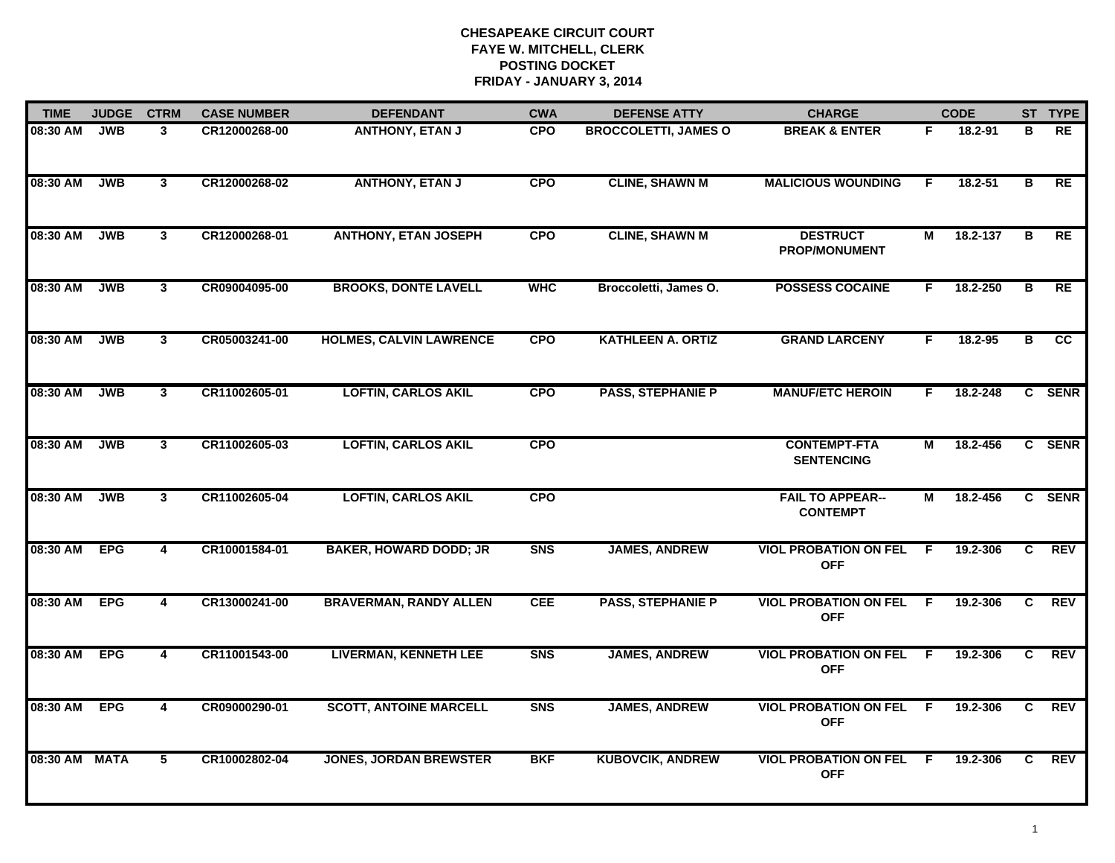| <b>TIME</b>   | <b>JUDGE</b> | <b>CTRM</b>             | <b>CASE NUMBER</b> | <b>DEFENDANT</b>               | <b>CWA</b>     | <b>DEFENSE ATTY</b>         | <b>CHARGE</b>                              |     | <b>CODE</b> |    | ST TYPE    |
|---------------|--------------|-------------------------|--------------------|--------------------------------|----------------|-----------------------------|--------------------------------------------|-----|-------------|----|------------|
| 08:30 AM      | <b>JWB</b>   | 3                       | CR12000268-00      | <b>ANTHONY, ETAN J</b>         | <b>CPO</b>     | <b>BROCCOLETTI, JAMES O</b> | <b>BREAK &amp; ENTER</b>                   | F.  | 18.2-91     | в  | RE         |
| 08:30 AM      | <b>JWB</b>   | $\mathbf{3}$            | CR12000268-02      | <b>ANTHONY, ETAN J</b>         | <b>CPO</b>     | <b>CLINE, SHAWN M</b>       | <b>MALICIOUS WOUNDING</b>                  | F.  | 18.2-51     | В  | RE         |
| 08:30 AM      | <b>JWB</b>   | 3                       | CR12000268-01      | <b>ANTHONY, ETAN JOSEPH</b>    | <b>CPO</b>     | <b>CLINE, SHAWN M</b>       | <b>DESTRUCT</b><br>PROP/MONUMENT           | М   | 18.2-137    | В  | RE         |
| 08:30 AM      | <b>JWB</b>   | 3                       | CR09004095-00      | <b>BROOKS, DONTE LAVELL</b>    | <b>WHC</b>     | Broccoletti, James O.       | <b>POSSESS COCAINE</b>                     | F.  | 18.2-250    | В  | RE         |
| 08:30 AM      | <b>JWB</b>   | $\mathbf{3}$            | CR05003241-00      | <b>HOLMES, CALVIN LAWRENCE</b> | <b>CPO</b>     | <b>KATHLEEN A. ORTIZ</b>    | <b>GRAND LARCENY</b>                       | F.  | $18.2 - 95$ | в  | cc         |
| 08:30 AM      | <b>JWB</b>   | $\mathbf{3}$            | CR11002605-01      | <b>LOFTIN, CARLOS AKIL</b>     | <b>CPO</b>     | <b>PASS, STEPHANIE P</b>    | <b>MANUF/ETC HEROIN</b>                    | F.  | 18.2-248    |    | C SENR     |
| 08:30 AM      | <b>JWB</b>   | $\mathbf{3}$            | CR11002605-03      | <b>LOFTIN, CARLOS AKIL</b>     | <b>CPO</b>     |                             | <b>CONTEMPT-FTA</b><br><b>SENTENCING</b>   | М   | 18.2-456    |    | C SENR     |
| 08:30 AM      | <b>JWB</b>   | 3                       | CR11002605-04      | <b>LOFTIN, CARLOS AKIL</b>     | <b>CPO</b>     |                             | <b>FAIL TO APPEAR--</b><br><b>CONTEMPT</b> | М   | 18.2-456    |    | C SENR     |
| 08:30 AM      | <b>EPG</b>   | 4                       | CR10001584-01      | <b>BAKER, HOWARD DODD; JR</b>  | S <sub>N</sub> | <b>JAMES, ANDREW</b>        | <b>VIOL PROBATION ON FEL</b><br><b>OFF</b> | E   | 19.2-306    | C. | <b>REV</b> |
| 08:30 AM      | <b>EPG</b>   | 4                       | CR13000241-00      | <b>BRAVERMAN, RANDY ALLEN</b>  | <b>CEE</b>     | <b>PASS, STEPHANIE P</b>    | <b>VIOL PROBATION ON FEL</b><br><b>OFF</b> | E   | 19.2-306    | C. | <b>REV</b> |
| 08:30 AM      | <b>EPG</b>   | $\overline{\mathbf{4}}$ | CR11001543-00      | <b>LIVERMAN, KENNETH LEE</b>   | <b>SNS</b>     | <b>JAMES, ANDREW</b>        | <b>VIOL PROBATION ON FEL</b><br><b>OFF</b> | - F | 19.2-306    | C  | REV        |
| 08:30 AM      | <b>EPG</b>   | $\overline{4}$          | CR09000290-01      | <b>SCOTT, ANTOINE MARCELL</b>  | <b>SNS</b>     | <b>JAMES, ANDREW</b>        | <b>VIOL PROBATION ON FEL</b><br><b>OFF</b> | -F  | 19.2-306    | C  | <b>REV</b> |
| 08:30 AM MATA |              | 5                       | CR10002802-04      | <b>JONES, JORDAN BREWSTER</b>  | <b>BKF</b>     | <b>KUBOVCIK, ANDREW</b>     | <b>VIOL PROBATION ON FEL</b><br><b>OFF</b> | -F. | 19.2-306    | C. | <b>REV</b> |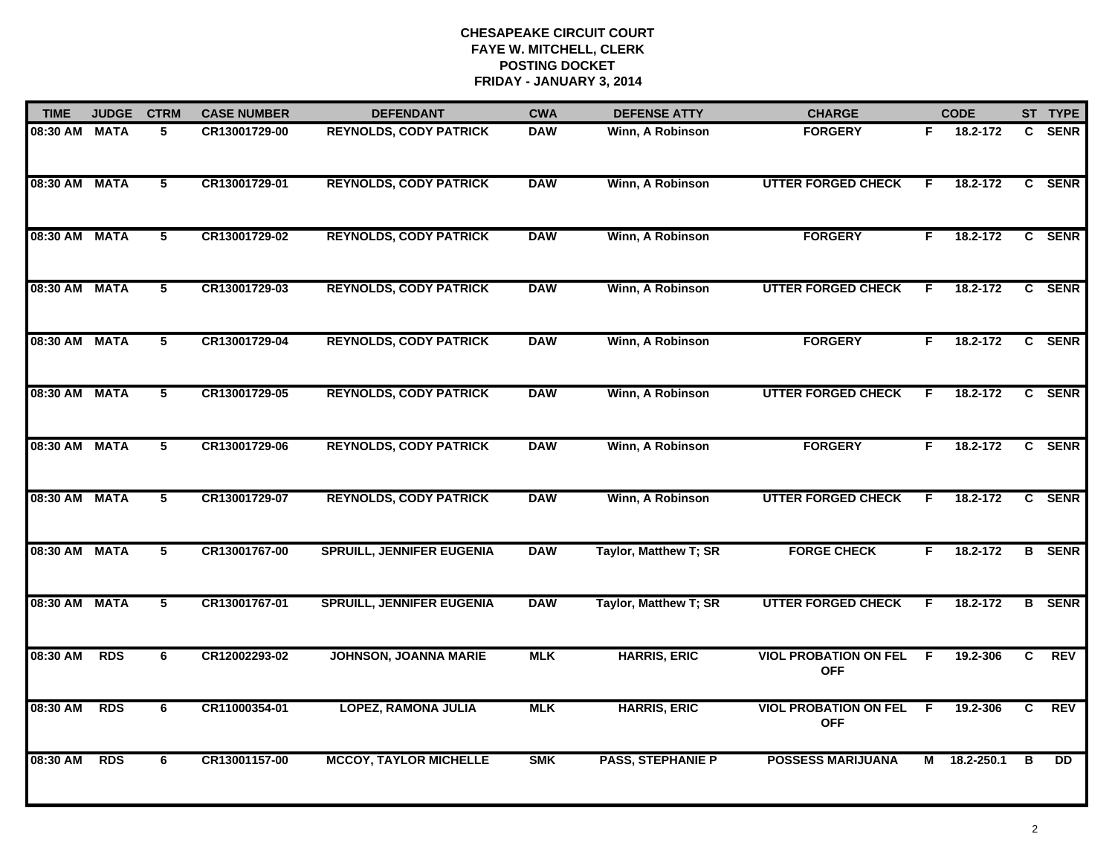| <b>TIME</b>   | <b>JUDGE</b> | <b>CTRM</b>     | <b>CASE NUMBER</b> | <b>DEFENDANT</b>                 | <b>CWA</b> | <b>DEFENSE ATTY</b>      | <b>CHARGE</b>                              |    | <b>CODE</b>  |    | ST TYPE       |
|---------------|--------------|-----------------|--------------------|----------------------------------|------------|--------------------------|--------------------------------------------|----|--------------|----|---------------|
| 08:30 AM MATA |              | 5               | CR13001729-00      | <b>REYNOLDS, CODY PATRICK</b>    | <b>DAW</b> | Winn, A Robinson         | <b>FORGERY</b>                             | F. | 18.2-172     | C. | <b>SENR</b>   |
| 08:30 AM MATA |              | $5\overline{ }$ | CR13001729-01      | <b>REYNOLDS, CODY PATRICK</b>    | <b>DAW</b> | Winn, A Robinson         | <b>UTTER FORGED CHECK</b>                  | E  | 18.2-172     | C  | <b>SENR</b>   |
| 08:30 AM MATA |              | 5               | CR13001729-02      | <b>REYNOLDS, CODY PATRICK</b>    | <b>DAW</b> | Winn, A Robinson         | <b>FORGERY</b>                             | F  | 18.2-172     |    | C SENR        |
| 08:30 AM MATA |              | 5               | CR13001729-03      | <b>REYNOLDS, CODY PATRICK</b>    | <b>DAW</b> | Winn, A Robinson         | <b>UTTER FORGED CHECK</b>                  | F  | 18.2-172     |    | C SENR        |
| 08:30 AM MATA |              | 5               | CR13001729-04      | <b>REYNOLDS, CODY PATRICK</b>    | <b>DAW</b> | Winn, A Robinson         | <b>FORGERY</b>                             | F. | 18.2-172     |    | C SENR        |
| 08:30 AM MATA |              | 5               | CR13001729-05      | <b>REYNOLDS, CODY PATRICK</b>    | <b>DAW</b> | Winn, A Robinson         | <b>UTTER FORGED CHECK</b>                  | F  | 18.2-172     |    | C SENR        |
| 08:30 AM MATA |              | 5               | CR13001729-06      | <b>REYNOLDS, CODY PATRICK</b>    | <b>DAW</b> | Winn, A Robinson         | <b>FORGERY</b>                             | F. | 18.2-172     | C  | <b>SENR</b>   |
| 08:30 AM MATA |              | 5               | CR13001729-07      | <b>REYNOLDS, CODY PATRICK</b>    | <b>DAW</b> | Winn, A Robinson         | <b>UTTER FORGED CHECK</b>                  | F  | 18.2-172     |    | C SENR        |
| 08:30 AM MATA |              | 5               | CR13001767-00      | <b>SPRUILL, JENNIFER EUGENIA</b> | <b>DAW</b> | Taylor, Matthew T; SR    | <b>FORGE CHECK</b>                         | F  | 18.2-172     |    | <b>B</b> SENR |
| 08:30 AM MATA |              | 5               | CR13001767-01      | <b>SPRUILL, JENNIFER EUGENIA</b> | <b>DAW</b> | Taylor, Matthew T; SR    | <b>UTTER FORGED CHECK</b>                  | F  | 18.2-172     |    | <b>B</b> SENR |
| 08:30 AM      | <b>RDS</b>   | 6               | CR12002293-02      | <b>JOHNSON, JOANNA MARIE</b>     | <b>MLK</b> | <b>HARRIS, ERIC</b>      | <b>VIOL PROBATION ON FEL</b><br><b>OFF</b> | -F | 19.2-306     | C  | <b>REV</b>    |
| 08:30 AM      | <b>RDS</b>   | 6               | CR11000354-01      | <b>LOPEZ, RAMONA JULIA</b>       | <b>MLK</b> | <b>HARRIS, ERIC</b>      | <b>VIOL PROBATION ON FEL</b><br><b>OFF</b> | F  | 19.2-306     | C  | <b>REV</b>    |
| 08:30 AM      | <b>RDS</b>   | 6               | CR13001157-00      | <b>MCCOY, TAYLOR MICHELLE</b>    | <b>SMK</b> | <b>PASS, STEPHANIE P</b> | <b>POSSESS MARIJUANA</b>                   |    | M 18.2-250.1 | в  | <b>DD</b>     |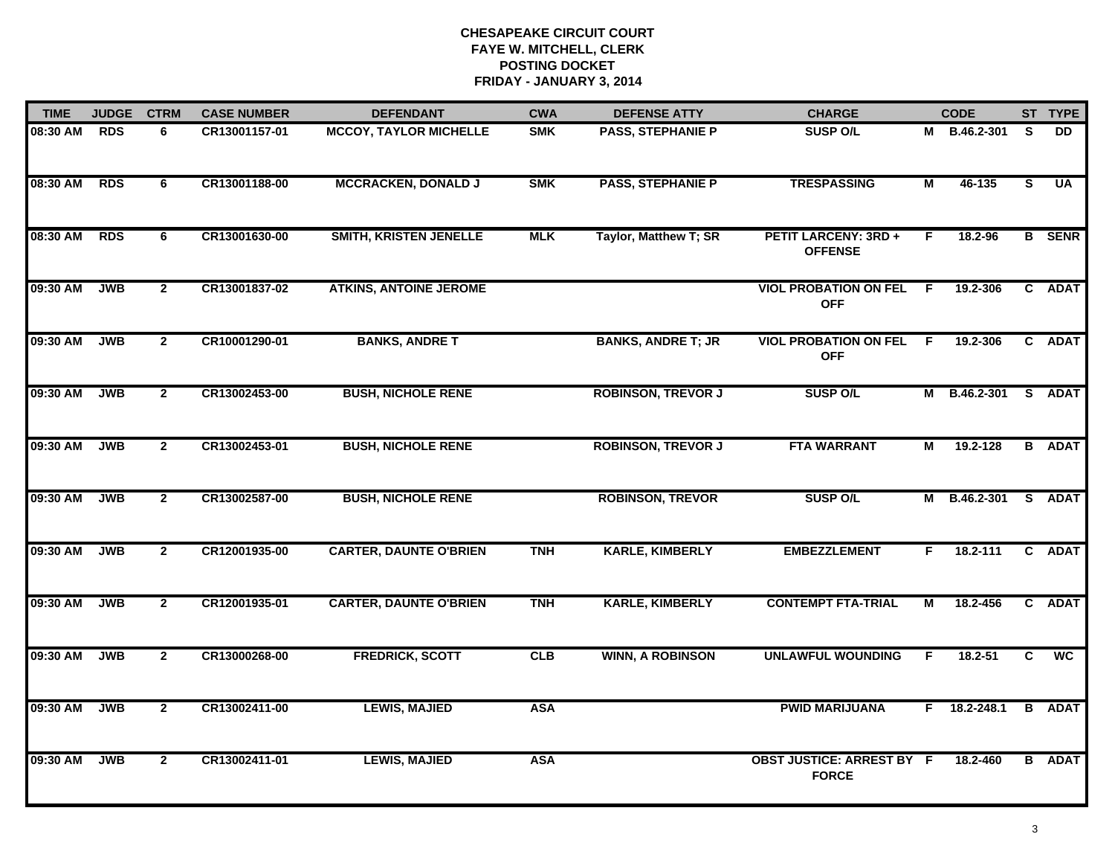| <b>TIME</b> | <b>JUDGE</b> | <b>CTRM</b>    | <b>CASE NUMBER</b> | <b>DEFENDANT</b>              | <b>CWA</b> | <b>DEFENSE ATTY</b>       | <b>CHARGE</b>                                    |    | <b>CODE</b>    |    | ST TYPE       |
|-------------|--------------|----------------|--------------------|-------------------------------|------------|---------------------------|--------------------------------------------------|----|----------------|----|---------------|
| 08:30 AM    | <b>RDS</b>   | 6              | CR13001157-01      | <b>MCCOY, TAYLOR MICHELLE</b> | <b>SMK</b> | <b>PASS, STEPHANIE P</b>  | <b>SUSP O/L</b>                                  |    | M B.46.2-301   | S. | DD            |
| 08:30 AM    | <b>RDS</b>   | 6              | CR13001188-00      | <b>MCCRACKEN, DONALD J</b>    | <b>SMK</b> | <b>PASS, STEPHANIE P</b>  | <b>TRESPASSING</b>                               | М  | 46-135         | S. | <b>UA</b>     |
| 08:30 AM    | <b>RDS</b>   | 6              | CR13001630-00      | SMITH, KRISTEN JENELLE        | <b>MLK</b> | Taylor, Matthew T; SR     | <b>PETIT LARCENY: 3RD +</b><br><b>OFFENSE</b>    | F. | 18.2-96        |    | <b>B</b> SENR |
| 09:30 AM    | <b>JWB</b>   | $\overline{2}$ | CR13001837-02      | <b>ATKINS, ANTOINE JEROME</b> |            |                           | <b>VIOL PROBATION ON FEL</b><br><b>OFF</b>       | F. | 19.2-306       |    | C ADAT        |
| 09:30 AM    | <b>JWB</b>   | $\mathbf{2}$   | CR10001290-01      | <b>BANKS, ANDRET</b>          |            | <b>BANKS, ANDRE T; JR</b> | <b>VIOL PROBATION ON FEL</b><br><b>OFF</b>       | F. | 19.2-306       |    | C ADAT        |
| 09:30 AM    | <b>JWB</b>   | $\mathbf{2}$   | CR13002453-00      | <b>BUSH, NICHOLE RENE</b>     |            | <b>ROBINSON, TREVOR J</b> | <b>SUSP O/L</b>                                  |    | M B.46.2-301   |    | S ADAT        |
| 09:30 AM    | <b>JWB</b>   | $\overline{2}$ | CR13002453-01      | <b>BUSH, NICHOLE RENE</b>     |            | <b>ROBINSON, TREVOR J</b> | <b>FTA WARRANT</b>                               | М  | 19.2-128       |    | <b>B</b> ADAT |
| 09:30 AM    | <b>JWB</b>   | $\overline{2}$ | CR13002587-00      | <b>BUSH, NICHOLE RENE</b>     |            | <b>ROBINSON, TREVOR</b>   | <b>SUSP O/L</b>                                  |    | M B.46.2-301   |    | S ADAT        |
| 09:30 AM    | <b>JWB</b>   | $\overline{2}$ | CR12001935-00      | <b>CARTER, DAUNTE O'BRIEN</b> | <b>TNH</b> | <b>KARLE, KIMBERLY</b>    | <b>EMBEZZLEMENT</b>                              | F  | 18.2-111       |    | C ADAT        |
| 09:30 AM    | <b>JWB</b>   | $\overline{2}$ | CR12001935-01      | <b>CARTER, DAUNTE O'BRIEN</b> | <b>TNH</b> | <b>KARLE, KIMBERLY</b>    | <b>CONTEMPT FTA-TRIAL</b>                        | М  | 18.2-456       |    | C ADAT        |
| 09:30 AM    | <b>JWB</b>   | $\overline{2}$ | CR13000268-00      | <b>FREDRICK, SCOTT</b>        | CLB        | <b>WINN, A ROBINSON</b>   | <b>UNLAWFUL WOUNDING</b>                         | F  | 18.2-51        | C  | <b>WC</b>     |
| 09:30 AM    | <b>JWB</b>   | $\overline{2}$ | CR13002411-00      | <b>LEWIS, MAJIED</b>          | <b>ASA</b> |                           | <b>PWID MARIJUANA</b>                            |    | $F$ 18.2-248.1 |    | <b>B</b> ADAT |
| 09:30 AM    | <b>JWB</b>   | $\overline{2}$ | CR13002411-01      | <b>LEWIS, MAJIED</b>          | <b>ASA</b> |                           | <b>OBST JUSTICE: ARREST BY F</b><br><b>FORCE</b> |    | 18.2-460       |    | <b>B</b> ADAT |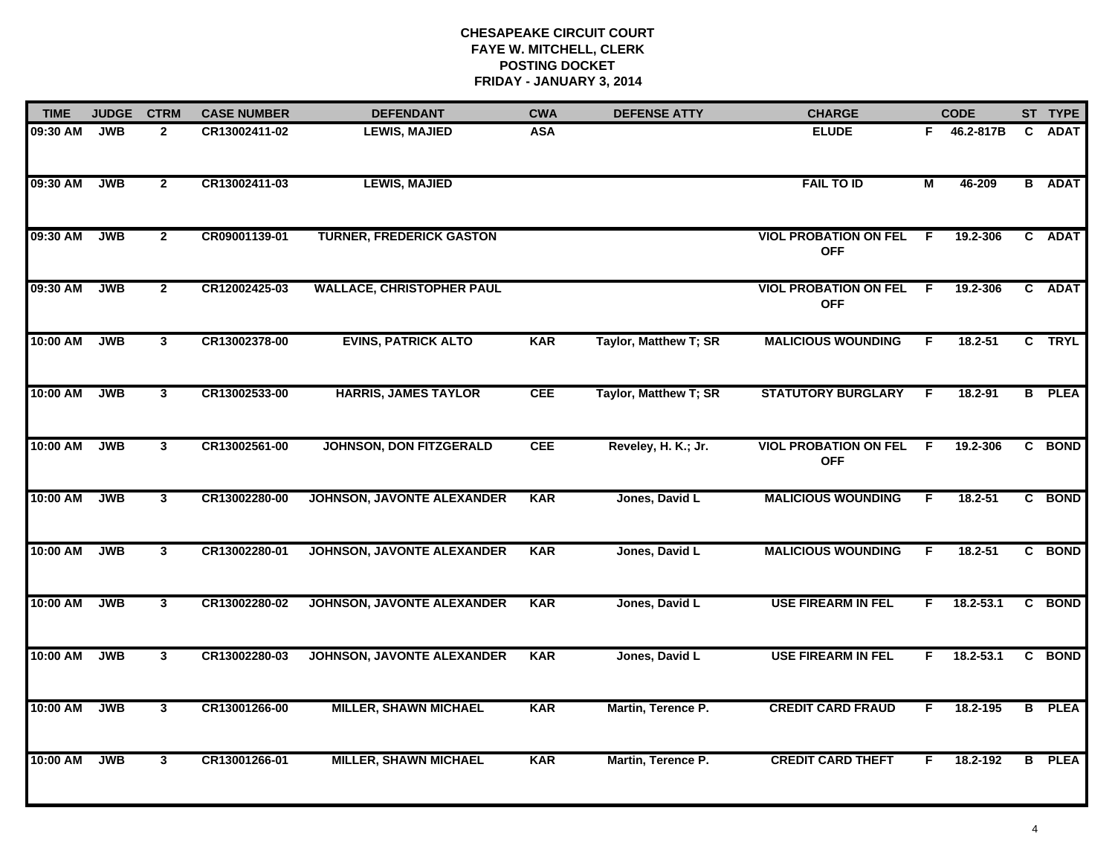| <b>TIME</b> | <b>JUDGE</b> | <b>CTRM</b>    | <b>CASE NUMBER</b> | <b>DEFENDANT</b>                  | <b>CWA</b> | <b>DEFENSE ATTY</b>   | <b>CHARGE</b>                              |                | <b>CODE</b>   |   | ST TYPE       |
|-------------|--------------|----------------|--------------------|-----------------------------------|------------|-----------------------|--------------------------------------------|----------------|---------------|---|---------------|
| 09:30 AM    | <b>JWB</b>   | $\mathbf{2}$   | CR13002411-02      | <b>LEWIS, MAJIED</b>              | <b>ASA</b> |                       | <b>ELUDE</b>                               | F.             | 46.2-817B     | C | <b>ADAT</b>   |
| 09:30 AM    | <b>JWB</b>   | $\overline{2}$ | CR13002411-03      | <b>LEWIS, MAJIED</b>              |            |                       | <b>FAIL TO ID</b>                          | $\overline{M}$ | 46-209        |   | <b>B</b> ADAT |
| 09:30 AM    | <b>JWB</b>   | $\overline{2}$ | CR09001139-01      | <b>TURNER, FREDERICK GASTON</b>   |            |                       | <b>VIOL PROBATION ON FEL</b><br><b>OFF</b> | E              | 19.2-306      |   | C ADAT        |
| 09:30 AM    | <b>JWB</b>   | $\mathbf{2}$   | CR12002425-03      | <b>WALLACE, CHRISTOPHER PAUL</b>  |            |                       | <b>VIOL PROBATION ON FEL</b><br><b>OFF</b> | -F             | 19.2-306      |   | C ADAT        |
| 10:00 AM    | <b>JWB</b>   | $\mathbf{3}$   | CR13002378-00      | <b>EVINS, PATRICK ALTO</b>        | <b>KAR</b> | Taylor, Matthew T; SR | <b>MALICIOUS WOUNDING</b>                  | F.             | $18.2 - 51$   |   | C TRYL        |
| 10:00 AM    | <b>JWB</b>   | $\mathbf{3}$   | CR13002533-00      | <b>HARRIS, JAMES TAYLOR</b>       | <b>CEE</b> | Taylor, Matthew T; SR | <b>STATUTORY BURGLARY</b>                  | F              | 18.2-91       |   | <b>B</b> PLEA |
| 10:00 AM    | <b>JWB</b>   | $\mathbf{3}$   | CR13002561-00      | <b>JOHNSON, DON FITZGERALD</b>    | <b>CEE</b> | Reveley, H. K.; Jr.   | <b>VIOL PROBATION ON FEL</b><br><b>OFF</b> | F.             | 19.2-306      |   | C BOND        |
| 10:00 AM    | <b>JWB</b>   | 3              | CR13002280-00      | JOHNSON, JAVONTE ALEXANDER        | <b>KAR</b> | Jones, David L        | <b>MALICIOUS WOUNDING</b>                  | F              | $18.2 - 51$   |   | C BOND        |
| 10:00 AM    | <b>JWB</b>   | $\mathbf{3}$   | CR13002280-01      | <b>JOHNSON, JAVONTE ALEXANDER</b> | <b>KAR</b> | Jones, David L        | <b>MALICIOUS WOUNDING</b>                  | F              | $18.2 - 51$   |   | C BOND        |
| 10:00 AM    | <b>JWB</b>   | $\mathbf{3}$   | CR13002280-02      | <b>JOHNSON, JAVONTE ALEXANDER</b> | <b>KAR</b> | Jones, David L        | <b>USE FIREARM IN FEL</b>                  | F.             | $18.2 - 53.1$ |   | C BOND        |
| 10:00 AM    | <b>JWB</b>   | $\mathbf{3}$   | CR13002280-03      | JOHNSON, JAVONTE ALEXANDER        | <b>KAR</b> | Jones, David L        | <b>USE FIREARM IN FEL</b>                  | F.             | $18.2 - 53.1$ |   | C BOND        |
| 10:00 AM    | <b>JWB</b>   | $\mathbf{3}$   | CR13001266-00      | <b>MILLER, SHAWN MICHAEL</b>      | <b>KAR</b> | Martin, Terence P.    | <b>CREDIT CARD FRAUD</b>                   | F.             | 18.2-195      |   | <b>B</b> PLEA |
| 10:00 AM    | <b>JWB</b>   | $\mathbf{3}$   | CR13001266-01      | <b>MILLER, SHAWN MICHAEL</b>      | <b>KAR</b> | Martin, Terence P.    | <b>CREDIT CARD THEFT</b>                   | F.             | 18.2-192      |   | <b>B</b> PLEA |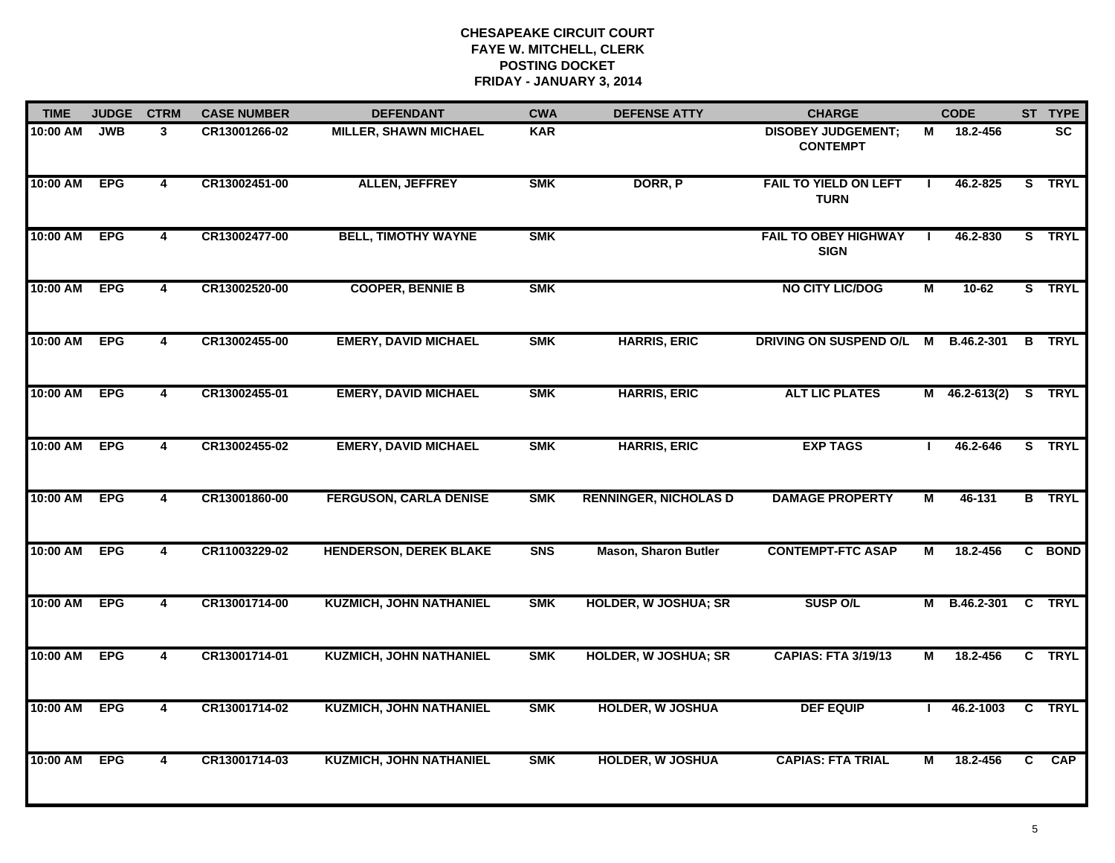| <b>TIME</b> | <b>JUDGE</b> | <b>CTRM</b>             | <b>CASE NUMBER</b> | <b>DEFENDANT</b>               | <b>CWA</b> | <b>DEFENSE ATTY</b>          | <b>CHARGE</b>                                |              | <b>CODE</b>          |   | ST TYPE       |
|-------------|--------------|-------------------------|--------------------|--------------------------------|------------|------------------------------|----------------------------------------------|--------------|----------------------|---|---------------|
| 10:00 AM    | <b>JWB</b>   | 3                       | CR13001266-02      | <b>MILLER, SHAWN MICHAEL</b>   | <b>KAR</b> |                              | <b>DISOBEY JUDGEMENT:</b><br><b>CONTEMPT</b> | м            | 18.2-456             |   | <b>SC</b>     |
| 10:00 AM    | <b>EPG</b>   | $\overline{\mathbf{4}}$ | CR13002451-00      | <b>ALLEN, JEFFREY</b>          | <b>SMK</b> | DORR, P                      | <b>FAIL TO YIELD ON LEFT</b><br><b>TURN</b>  | $\mathbf{I}$ | 46.2-825             |   | S TRYL        |
| 10:00 AM    | <b>EPG</b>   | $\overline{\mathbf{4}}$ | CR13002477-00      | <b>BELL, TIMOTHY WAYNE</b>     | <b>SMK</b> |                              | <b>FAIL TO OBEY HIGHWAY</b><br><b>SIGN</b>   |              | 46.2-830             |   | S TRYL        |
| 10:00 AM    | <b>EPG</b>   | 4                       | CR13002520-00      | <b>COOPER, BENNIE B</b>        | <b>SMK</b> |                              | <b>NO CITY LIC/DOG</b>                       | М            | 10-62                |   | S TRYL        |
| 10:00 AM    | <b>EPG</b>   | $\overline{\mathbf{4}}$ | CR13002455-00      | <b>EMERY, DAVID MICHAEL</b>    | <b>SMK</b> | <b>HARRIS, ERIC</b>          | DRIVING ON SUSPEND O/L                       | M            | B.46.2-301           | B | <b>TRYL</b>   |
| 10:00 AM    | <b>EPG</b>   | $\overline{\mathbf{4}}$ | CR13002455-01      | <b>EMERY, DAVID MICHAEL</b>    | <b>SMK</b> | <b>HARRIS, ERIC</b>          | <b>ALT LIC PLATES</b>                        |              | M 46.2-613(2) S TRYL |   |               |
| 10:00 AM    | <b>EPG</b>   | 4                       | CR13002455-02      | <b>EMERY, DAVID MICHAEL</b>    | <b>SMK</b> | <b>HARRIS, ERIC</b>          | <b>EXP TAGS</b>                              |              | 46.2-646             |   | S TRYL        |
| 10:00 AM    | <b>EPG</b>   | $\overline{\mathbf{4}}$ | CR13001860-00      | <b>FERGUSON, CARLA DENISE</b>  | <b>SMK</b> | <b>RENNINGER, NICHOLAS D</b> | <b>DAMAGE PROPERTY</b>                       | М            | 46-131               |   | <b>B</b> TRYL |
| 10:00 AM    | <b>EPG</b>   | 4                       | CR11003229-02      | <b>HENDERSON, DEREK BLAKE</b>  | <b>SNS</b> | <b>Mason, Sharon Butler</b>  | <b>CONTEMPT-FTC ASAP</b>                     | М            | 18.2-456             |   | C BOND        |
| 10:00 AM    | <b>EPG</b>   | 4                       | CR13001714-00      | <b>KUZMICH, JOHN NATHANIEL</b> | <b>SMK</b> | <b>HOLDER, W JOSHUA; SR</b>  | <b>SUSP O/L</b>                              |              | M B.46.2-301         |   | C TRYL        |
| 10:00 AM    | <b>EPG</b>   | $\overline{\mathbf{4}}$ | CR13001714-01      | <b>KUZMICH, JOHN NATHANIEL</b> | <b>SMK</b> | <b>HOLDER, W JOSHUA; SR</b>  | <b>CAPIAS: FTA 3/19/13</b>                   | М            | 18.2-456             |   | C TRYL        |
| 10:00 AM    | <b>EPG</b>   | $\overline{\mathbf{4}}$ | CR13001714-02      | <b>KUZMICH, JOHN NATHANIEL</b> | <b>SMK</b> | <b>HOLDER, W JOSHUA</b>      | <b>DEF EQUIP</b>                             |              | 46.2-1003            |   | C TRYL        |
| 10:00 AM    | <b>EPG</b>   | 4                       | CR13001714-03      | <b>KUZMICH, JOHN NATHANIEL</b> | <b>SMK</b> | <b>HOLDER, W JOSHUA</b>      | <b>CAPIAS: FTA TRIAL</b>                     | М            | 18.2-456             | C | CAP           |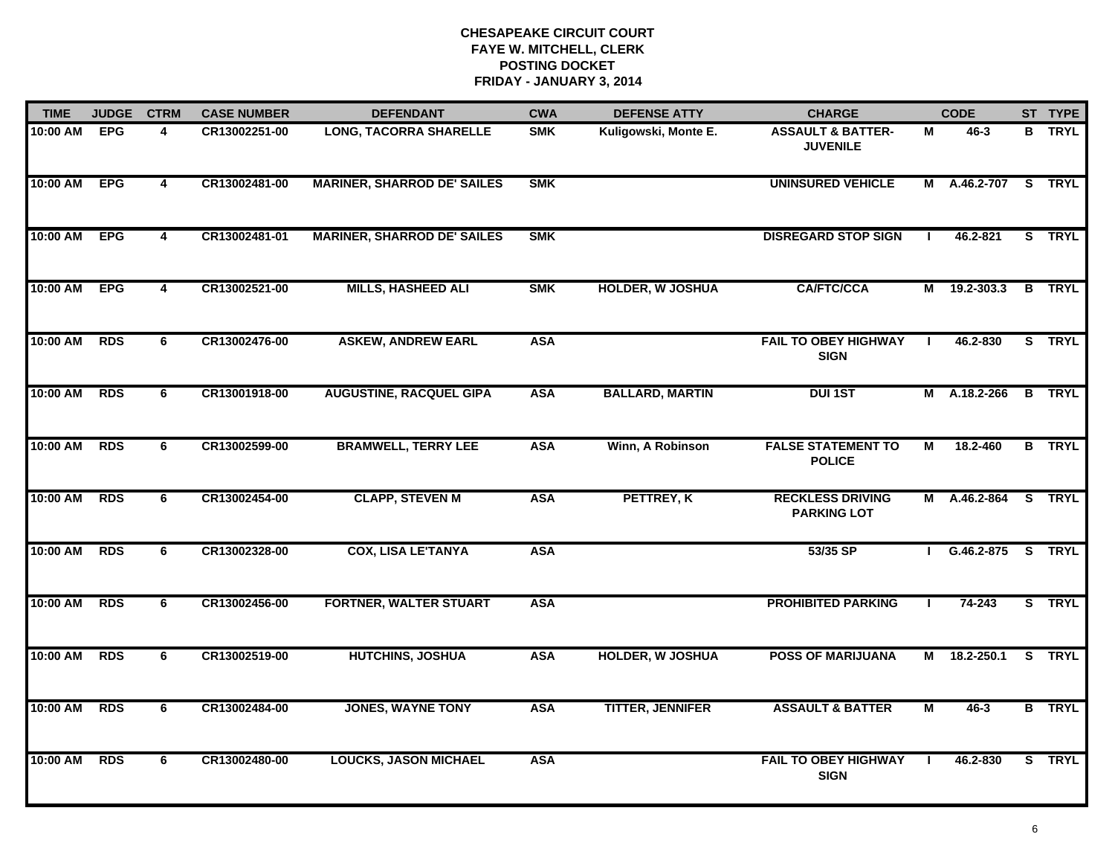| <b>TIME</b> | <b>JUDGE</b><br><b>CTRM</b> |                         | <b>CASE NUMBER</b> | <b>DEFENDANT</b>                   | <b>CWA</b> | <b>DEFENSE ATTY</b>     | <b>CHARGE</b>                                   | <b>CODE</b>    |                     | ST TYPE       |
|-------------|-----------------------------|-------------------------|--------------------|------------------------------------|------------|-------------------------|-------------------------------------------------|----------------|---------------------|---------------|
| 10:00 AM    | <b>EPG</b>                  | 4                       | CR13002251-00      | <b>LONG, TACORRA SHARELLE</b>      | <b>SMK</b> | Kuligowski, Monte E.    | <b>ASSAULT &amp; BATTER-</b><br><b>JUVENILE</b> | М              | 46-3                | <b>B</b> TRYL |
| 10:00 AM    | <b>EPG</b>                  | $\overline{\mathbf{4}}$ | CR13002481-00      | <b>MARINER, SHARROD DE' SAILES</b> | <b>SMK</b> |                         | <b>UNINSURED VEHICLE</b>                        |                | M A.46.2-707 S TRYL |               |
| 10:00 AM    | <b>EPG</b>                  | $\overline{\mathbf{4}}$ | CR13002481-01      | <b>MARINER, SHARROD DE' SAILES</b> | <b>SMK</b> |                         | <b>DISREGARD STOP SIGN</b>                      |                | 46.2-821            | S TRYL        |
| 10:00 AM    | <b>EPG</b>                  | 4                       | CR13002521-00      | <b>MILLS, HASHEED ALI</b>          | <b>SMK</b> | <b>HOLDER, W JOSHUA</b> | <b>CA/FTC/CCA</b>                               |                | M 19.2-303.3        | <b>B</b> TRYL |
| 10:00 AM    | <b>RDS</b>                  | 6                       | CR13002476-00      | <b>ASKEW, ANDREW EARL</b>          | <b>ASA</b> |                         | <b>FAIL TO OBEY HIGHWAY</b><br><b>SIGN</b>      |                | 46.2-830            | S TRYL        |
| 10:00 AM    | <b>RDS</b>                  | 6                       | CR13001918-00      | <b>AUGUSTINE, RACQUEL GIPA</b>     | <b>ASA</b> | <b>BALLARD, MARTIN</b>  | <b>DUI 1ST</b>                                  |                | M A.18.2-266        | <b>B</b> TRYL |
| 10:00 AM    | <b>RDS</b>                  | 6                       | CR13002599-00      | <b>BRAMWELL, TERRY LEE</b>         | <b>ASA</b> | Winn, A Robinson        | <b>FALSE STATEMENT TO</b><br><b>POLICE</b>      | $\overline{M}$ | 18.2-460            | <b>B</b> TRYL |
| 10:00 AM    | <b>RDS</b>                  | 6                       | CR13002454-00      | <b>CLAPP, STEVEN M</b>             | <b>ASA</b> | PETTREY, K              | <b>RECKLESS DRIVING</b><br><b>PARKING LOT</b>   |                | M A.46.2-864 S TRYL |               |
| 10:00 AM    | <b>RDS</b>                  | 6                       | CR13002328-00      | <b>COX, LISA LE'TANYA</b>          | <b>ASA</b> |                         | 53/35 SP                                        |                | G.46.2-875 S TRYL   |               |
| 10:00 AM    | <b>RDS</b>                  | 6                       | CR13002456-00      | <b>FORTNER, WALTER STUART</b>      | <b>ASA</b> |                         | <b>PROHIBITED PARKING</b>                       | Т.             | $74 - 243$          | S TRYL        |
| 10:00 AM    | <b>RDS</b>                  | 6                       | CR13002519-00      | <b>HUTCHINS, JOSHUA</b>            | <b>ASA</b> | <b>HOLDER, W JOSHUA</b> | <b>POSS OF MARIJUANA</b>                        |                | M 18.2-250.1        | S TRYL        |
| 10:00 AM    | <b>RDS</b>                  | 6                       | CR13002484-00      | <b>JONES, WAYNE TONY</b>           | <b>ASA</b> | <b>TITTER, JENNIFER</b> | <b>ASSAULT &amp; BATTER</b>                     | M              | $46 - 3$            | <b>B</b> TRYL |
| 10:00 AM    | <b>RDS</b>                  | 6                       | CR13002480-00      | <b>LOUCKS, JASON MICHAEL</b>       | <b>ASA</b> |                         | <b>FAIL TO OBEY HIGHWAY</b><br><b>SIGN</b>      |                | 46.2-830            | S TRYL        |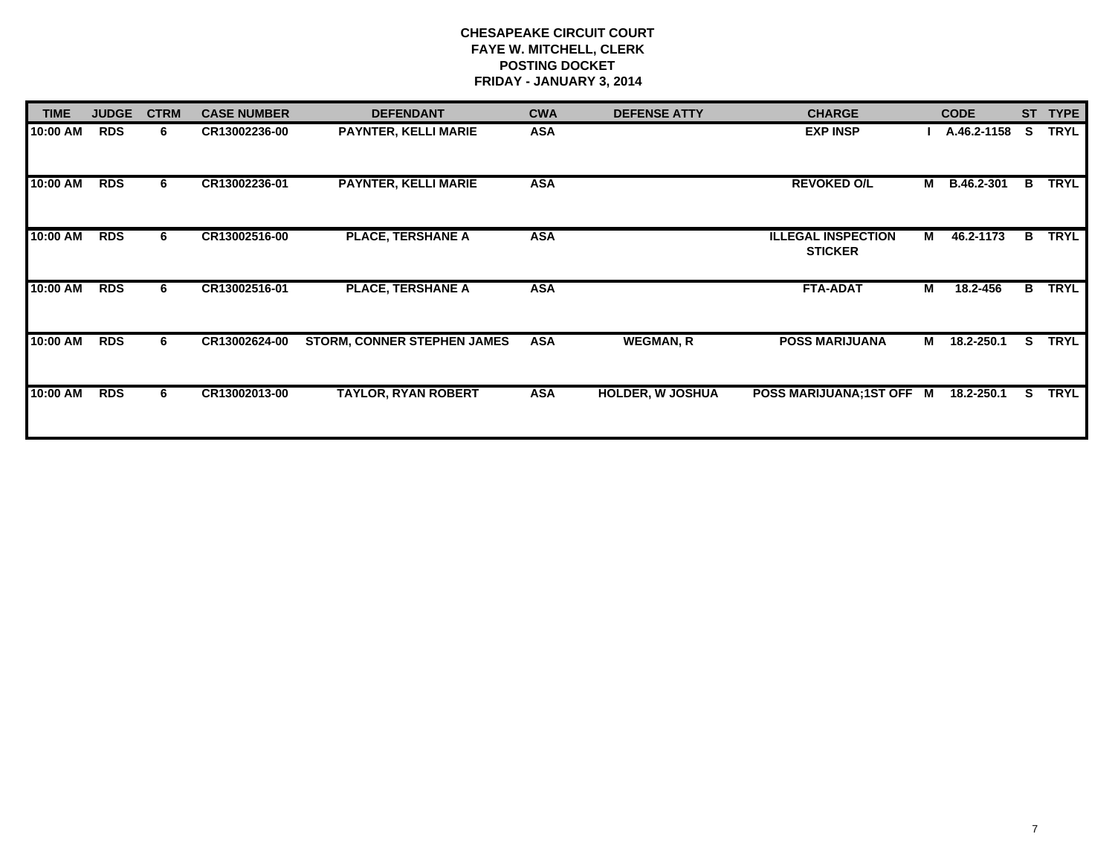| <b>TIME</b> | <b>JUDGE</b> | <b>CTRM</b> | <b>CASE NUMBER</b> | <b>DEFENDANT</b>                   | <b>CWA</b> | <b>DEFENSE ATTY</b>     | <b>CHARGE</b>                               |   | <b>CODE</b> | <b>ST</b> | <b>TYPE</b> |
|-------------|--------------|-------------|--------------------|------------------------------------|------------|-------------------------|---------------------------------------------|---|-------------|-----------|-------------|
| 10:00 AM    | <b>RDS</b>   | 6           | CR13002236-00      | PAYNTER, KELLI MARIE               | <b>ASA</b> |                         | <b>EXP INSP</b>                             |   | A.46.2-1158 | s         | <b>TRYL</b> |
| 10:00 AM    | <b>RDS</b>   | 6           | CR13002236-01      | <b>PAYNTER, KELLI MARIE</b>        | <b>ASA</b> |                         | <b>REVOKED O/L</b>                          | М | B.46.2-301  | B         | <b>TRYL</b> |
| 10:00 AM    | <b>RDS</b>   | 6           | CR13002516-00      | <b>PLACE, TERSHANE A</b>           | <b>ASA</b> |                         | <b>ILLEGAL INSPECTION</b><br><b>STICKER</b> | М | 46.2-1173   | В         | <b>TRYL</b> |
| 10:00 AM    | <b>RDS</b>   | 6           | CR13002516-01      | <b>PLACE, TERSHANE A</b>           | <b>ASA</b> |                         | <b>FTA-ADAT</b>                             | М | 18.2-456    | B         | <b>TRYL</b> |
| 10:00 AM    | <b>RDS</b>   | 6           | CR13002624-00      | <b>STORM, CONNER STEPHEN JAMES</b> | <b>ASA</b> | <b>WEGMAN, R</b>        | <b>POSS MARIJUANA</b>                       | М | 18.2-250.1  | S.        | <b>TRYL</b> |
| 10:00 AM    | <b>RDS</b>   | 6           | CR13002013-00      | <b>TAYLOR, RYAN ROBERT</b>         | <b>ASA</b> | <b>HOLDER, W JOSHUA</b> | POSS MARIJUANA;1ST OFF M                    |   | 18.2-250.1  | S.        | TRYL        |